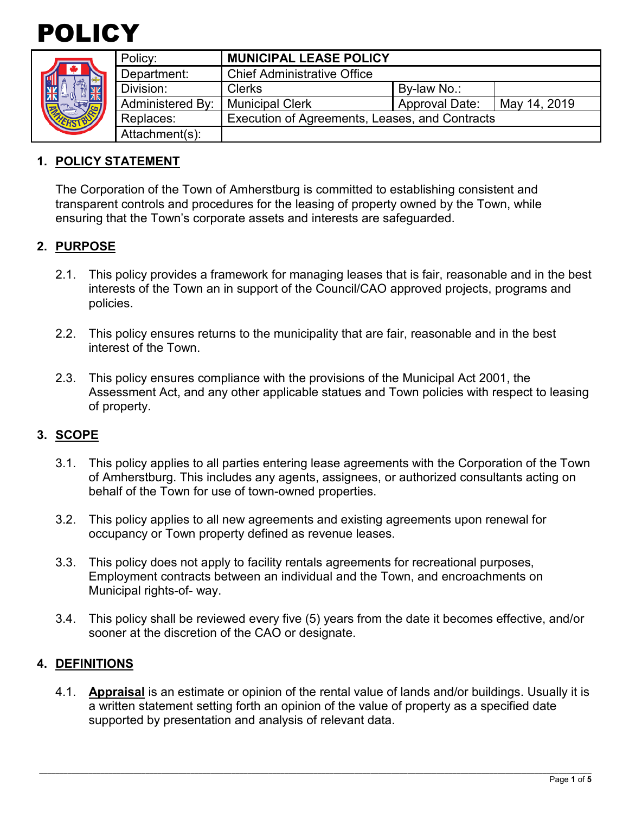



| Policy:          | <b>MUNICIPAL LEASE POLICY</b>                  |                       |              |
|------------------|------------------------------------------------|-----------------------|--------------|
| Department:      | <b>Chief Administrative Office</b>             |                       |              |
| Division:        | <b>Clerks</b>                                  | By-law No.:           |              |
| Administered By: | <b>Municipal Clerk</b>                         | <b>Approval Date:</b> | May 14, 2019 |
| Replaces:        | Execution of Agreements, Leases, and Contracts |                       |              |
| Attachment(s):   |                                                |                       |              |

### **1. POLICY STATEMENT**

The Corporation of the Town of Amherstburg is committed to establishing consistent and transparent controls and procedures for the leasing of property owned by the Town, while ensuring that the Town's corporate assets and interests are safeguarded.

### **2. PURPOSE**

- 2.1. This policy provides a framework for managing leases that is fair, reasonable and in the best interests of the Town an in support of the Council/CAO approved projects, programs and policies.
- 2.2. This policy ensures returns to the municipality that are fair, reasonable and in the best interest of the Town.
- 2.3. This policy ensures compliance with the provisions of the Municipal Act 2001, the Assessment Act, and any other applicable statues and Town policies with respect to leasing of property.

### **3. SCOPE**

- 3.1. This policy applies to all parties entering lease agreements with the Corporation of the Town of Amherstburg. This includes any agents, assignees, or authorized consultants acting on behalf of the Town for use of town-owned properties.
- 3.2. This policy applies to all new agreements and existing agreements upon renewal for occupancy or Town property defined as revenue leases.
- 3.3. This policy does not apply to facility rentals agreements for recreational purposes, Employment contracts between an individual and the Town, and encroachments on Municipal rights-of- way.
- 3.4. This policy shall be reviewed every five (5) years from the date it becomes effective, and/or sooner at the discretion of the CAO or designate.

### **4. DEFINITIONS**

4.1. **Appraisal** is an estimate or opinion of the rental value of lands and/or buildings. Usually it is a written statement setting forth an opinion of the value of property as a specified date supported by presentation and analysis of relevant data.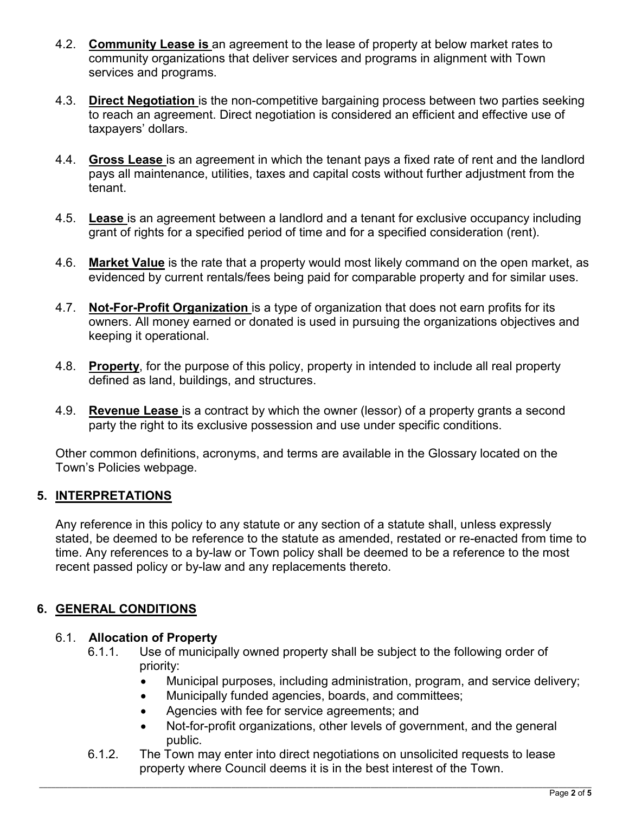- 4.2. **Community Lease is** an agreement to the lease of property at below market rates to community organizations that deliver services and programs in alignment with Town services and programs.
- 4.3. **Direct Negotiation** is the non-competitive bargaining process between two parties seeking to reach an agreement. Direct negotiation is considered an efficient and effective use of taxpayers' dollars.
- 4.4. **Gross Lease** is an agreement in which the tenant pays a fixed rate of rent and the landlord pays all maintenance, utilities, taxes and capital costs without further adjustment from the tenant.
- 4.5. **Lease** is an agreement between a landlord and a tenant for exclusive occupancy including grant of rights for a specified period of time and for a specified consideration (rent).
- 4.6. **Market Value** is the rate that a property would most likely command on the open market, as evidenced by current rentals/fees being paid for comparable property and for similar uses.
- 4.7. **Not-For-Profit Organization** is a type of organization that does not earn profits for its owners. All money earned or donated is used in pursuing the organizations objectives and keeping it operational.
- 4.8. **Property**, for the purpose of this policy, property in intended to include all real property defined as land, buildings, and structures.
- 4.9. **Revenue Lease** is a contract by which the owner (lessor) of a property grants a second party the right to its exclusive possession and use under specific conditions.

Other common definitions, acronyms, and terms are available in the Glossary located on the Town's Policies webpage.

## **5. INTERPRETATIONS**

Any reference in this policy to any statute or any section of a statute shall, unless expressly stated, be deemed to be reference to the statute as amended, restated or re-enacted from time to time. Any references to a by-law or Town policy shall be deemed to be a reference to the most recent passed policy or by-law and any replacements thereto.

## **6. GENERAL CONDITIONS**

### 6.1. **Allocation of Property**

- 6.1.1. Use of municipally owned property shall be subject to the following order of priority:
	- Municipal purposes, including administration, program, and service delivery;
	- Municipally funded agencies, boards, and committees;
	- Agencies with fee for service agreements; and
	- Not-for-profit organizations, other levels of government, and the general public.
- 6.1.2. The Town may enter into direct negotiations on unsolicited requests to lease property where Council deems it is in the best interest of the Town.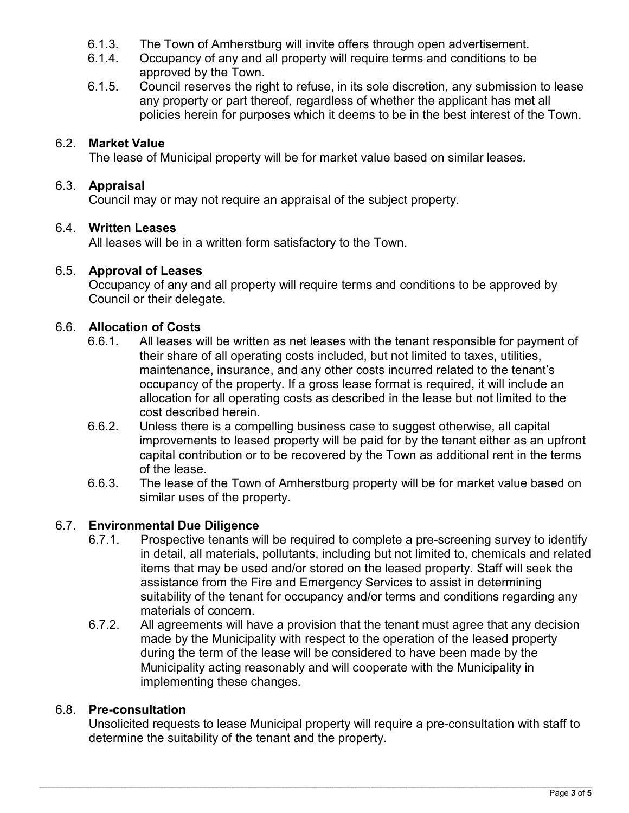- 6.1.3. The Town of Amherstburg will invite offers through open advertisement.
- 6.1.4. Occupancy of any and all property will require terms and conditions to be approved by the Town.
- 6.1.5. Council reserves the right to refuse, in its sole discretion, any submission to lease any property or part thereof, regardless of whether the applicant has met all policies herein for purposes which it deems to be in the best interest of the Town.

## 6.2. **Market Value**

The lease of Municipal property will be for market value based on similar leases.

## 6.3. **Appraisal**

Council may or may not require an appraisal of the subject property.

## 6.4. **Written Leases**

All leases will be in a written form satisfactory to the Town.

# 6.5. **Approval of Leases**

Occupancy of any and all property will require terms and conditions to be approved by Council or their delegate.

## 6.6. **Allocation of Costs**

- 6.6.1. All leases will be written as net leases with the tenant responsible for payment of their share of all operating costs included, but not limited to taxes, utilities, maintenance, insurance, and any other costs incurred related to the tenant's occupancy of the property. If a gross lease format is required, it will include an allocation for all operating costs as described in the lease but not limited to the cost described herein.
- 6.6.2. Unless there is a compelling business case to suggest otherwise, all capital improvements to leased property will be paid for by the tenant either as an upfront capital contribution or to be recovered by the Town as additional rent in the terms of the lease.
- 6.6.3. The lease of the Town of Amherstburg property will be for market value based on similar uses of the property.

# 6.7. **Environmental Due Diligence**

- 6.7.1. Prospective tenants will be required to complete a pre-screening survey to identify in detail, all materials, pollutants, including but not limited to, chemicals and related items that may be used and/or stored on the leased property. Staff will seek the assistance from the Fire and Emergency Services to assist in determining suitability of the tenant for occupancy and/or terms and conditions regarding any materials of concern.
- 6.7.2. All agreements will have a provision that the tenant must agree that any decision made by the Municipality with respect to the operation of the leased property during the term of the lease will be considered to have been made by the Municipality acting reasonably and will cooperate with the Municipality in implementing these changes.

# 6.8. **Pre-consultation**

Unsolicited requests to lease Municipal property will require a pre-consultation with staff to determine the suitability of the tenant and the property.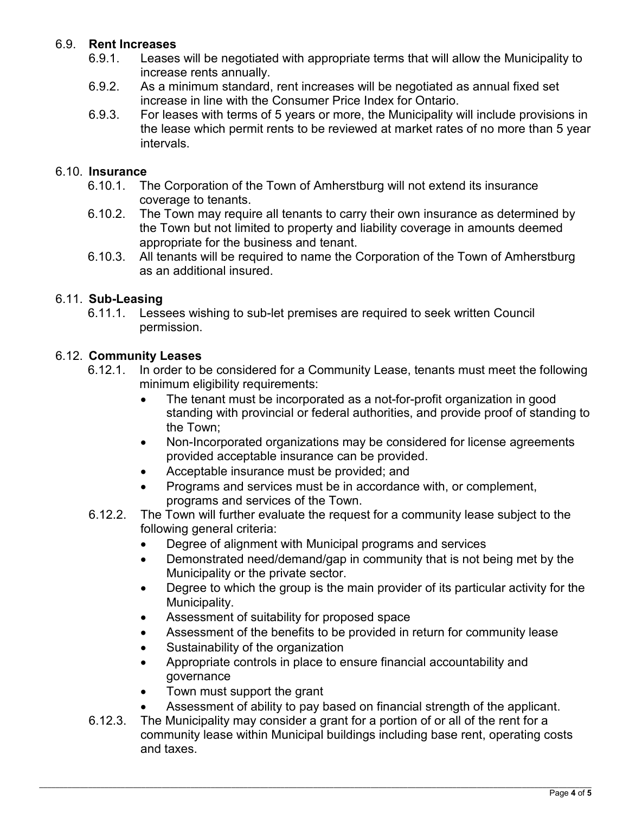## 6.9. **Rent Increases**

- 6.9.1. Leases will be negotiated with appropriate terms that will allow the Municipality to increase rents annually.
- 6.9.2. As a minimum standard, rent increases will be negotiated as annual fixed set increase in line with the Consumer Price Index for Ontario.
- 6.9.3. For leases with terms of 5 years or more, the Municipality will include provisions in the lease which permit rents to be reviewed at market rates of no more than 5 year intervals.

#### 6.10. **Insurance**

- 6.10.1. The Corporation of the Town of Amherstburg will not extend its insurance coverage to tenants.
- 6.10.2. The Town may require all tenants to carry their own insurance as determined by the Town but not limited to property and liability coverage in amounts deemed appropriate for the business and tenant.
- 6.10.3. All tenants will be required to name the Corporation of the Town of Amherstburg as an additional insured.

### 6.11. **Sub-Leasing**

6.11.1. Lessees wishing to sub-let premises are required to seek written Council permission.

#### 6.12. **Community Leases**

- 6.12.1. In order to be considered for a Community Lease, tenants must meet the following minimum eligibility requirements:
	- The tenant must be incorporated as a not-for-profit organization in good standing with provincial or federal authorities, and provide proof of standing to the Town;
	- Non-Incorporated organizations may be considered for license agreements provided acceptable insurance can be provided.
	- Acceptable insurance must be provided; and
	- Programs and services must be in accordance with, or complement, programs and services of the Town.
- 6.12.2. The Town will further evaluate the request for a community lease subject to the following general criteria:
	- Degree of alignment with Municipal programs and services
	- Demonstrated need/demand/gap in community that is not being met by the Municipality or the private sector.
	- Degree to which the group is the main provider of its particular activity for the Municipality.
	- Assessment of suitability for proposed space
	- Assessment of the benefits to be provided in return for community lease
	- Sustainability of the organization
	- Appropriate controls in place to ensure financial accountability and governance
	- Town must support the grant
	- Assessment of ability to pay based on financial strength of the applicant.
- 6.12.3. The Municipality may consider a grant for a portion of or all of the rent for a community lease within Municipal buildings including base rent, operating costs and taxes.